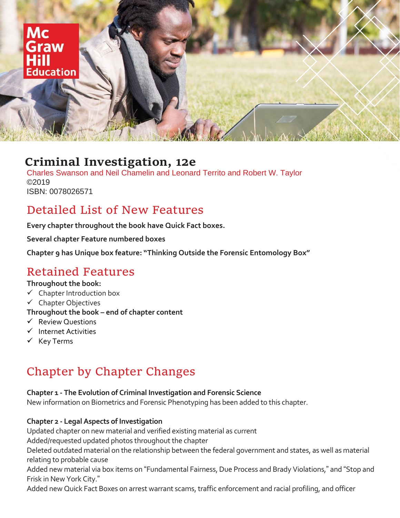

# **Criminal Investigation, 12e**

Charles Swanson and Neil Chamelin and Leonard Territo and Robert W. Taylor ©2019 ISBN: 0078026571

# Detailed List of New Features

**Every chapter throughout the book have Quick Fact boxes.**

**Several chapter Feature numbered boxes**

**Chapter 9 has Unique box feature: "Thinking Outside the Forensic Entomology Box"**

# Retained Features

## **Throughout the book:**

- $\checkmark$  Chapter Introduction box
- ✓ Chapter Objectives
- **Throughout the book – end of chapter content**
- ✓ Review Questions
- ✓ Internet Activities
- ✓ Key Terms

# Chapter by Chapter Changes

# **Chapter 1 - The Evolution of Criminal Investigation and Forensic Science**

New information on Biometrics and Forensic Phenotyping has been added to this chapter.

# **Chapter 2 - Legal Aspects of Investigation**

Updated chapter on new material and verified existing material as current

Added/requested updated photos throughout the chapter

Deleted outdated material on the relationship between the federal government and states, as well as material relating to probable cause

Added new material via box items on "Fundamental Fairness, Due Process and Brady Violations," and "Stop and Frisk in New York City."

Added new Quick Fact Boxes on arrest warrant scams, traffic enforcement and racial profiling, and officer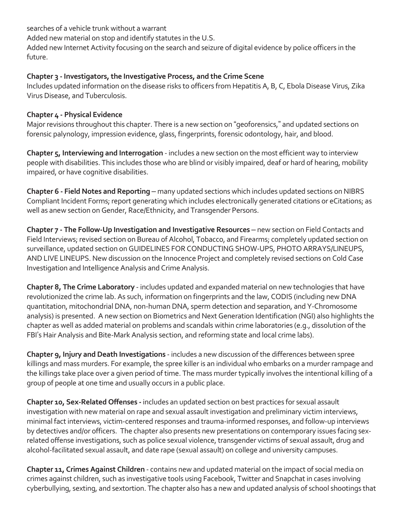searches of a vehicle trunk without a warrant Added new material on stop and identify statutes in the U.S. Added new Internet Activity focusing on the search and seizure of digital evidence by police officers in the future.

#### **Chapter 3 - Investigators, the Investigative Process, and the Crime Scene**

Includes updated information on the disease risks to officers from Hepatitis A, B, C, Ebola Disease Virus, Zika Virus Disease, and Tuberculosis.

## **Chapter 4 - Physical Evidence**

Major revisions throughout this chapter. There is a new section on "geoforensics," and updated sections on forensic palynology, impression evidence, glass, fingerprints, forensic odontology, hair, and blood.

**Chapter 5, Interviewing and Interrogation** - includes a new section on the most efficient way to interview people with disabilities. This includes those who are blind or visibly impaired, deaf or hard of hearing, mobility impaired, or have cognitive disabilities.

**Chapter 6 - Field Notes and Reporting** – many updated sections which includes updated sections on NIBRS Compliant Incident Forms; report generating which includes electronically generated citations or eCitations; as well as anew section on Gender, Race/Ethnicity, and Transgender Persons.

**Chapter 7 - The Follow-Up Investigation and Investigative Resources** – new section on Field Contacts and Field Interviews; revised section on Bureau of Alcohol, Tobacco, and Firearms; completely updated section on surveillance, updated section on GUIDELINES FOR CONDUCTING SHOW-UPS, PHOTO ARRAYS/LINEUPS, AND LIVE LINEUPS. New discussion on the Innocence Project and completely revised sections on Cold Case Investigation and Intelligence Analysis and Crime Analysis.

**Chapter 8, The Crime Laboratory** - includes updated and expanded material on new technologies that have revolutionized the crime lab. As such, information on fingerprints and the law, CODIS (including new DNA quantitation, mitochondrial DNA, non-human DNA, sperm detection and separation, and Y-Chromosome analysis) is presented. A new section on Biometrics and Next Generation Identification (NGI) also highlights the chapter as well as added material on problems and scandals within crime laboratories (e.g., dissolution of the FBI's Hair Analysis and Bite-Mark Analysis section, and reforming state and local crime labs).

**Chapter 9, Injury and Death Investigations** - includes a new discussion of the differences between spree killings and mass murders. For example, the spree killer is an individual who embarks on a murder rampage and the killings take place over a given period of time. The mass murder typically involves the intentional killing of a group of people at one time and usually occurs in a public place.

**Chapter 10, Sex-Related Offenses -** includes an updated section on best practices for sexual assault investigation with new material on rape and sexual assault investigation and preliminary victim interviews, minimal fact interviews, victim-centered responses and trauma-informed responses, and follow-up interviews by detectives and/or officers. The chapter also presents new presentations on contemporary issues facing sexrelated offense investigations, such as police sexual violence, transgender victims of sexual assault, drug and alcohol-facilitated sexual assault, and date rape (sexual assault) on college and university campuses.

**Chapter 11, Crimes Against Children** - contains new and updated material on the impact of social media on crimes against children, such as investigative tools using Facebook, Twitter and Snapchat in cases involving cyberbullying, sexting, and sextortion. The chapter also has a new and updated analysis of school shootings that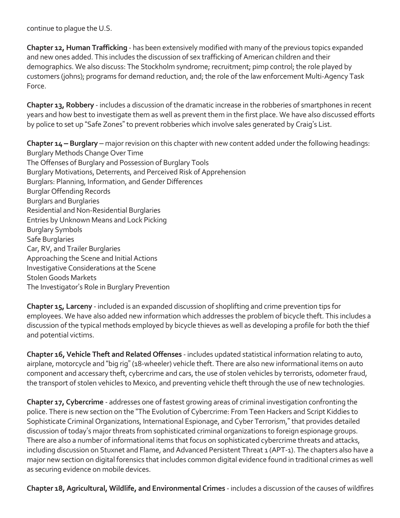continue to plague the U.S.

**Chapter 12, Human Trafficking** - has been extensively modified with many of the previous topics expanded and new ones added. This includes the discussion of sex trafficking of American children and their demographics. We also discuss: The Stockholm syndrome; recruitment; pimp control; the role played by customers (johns); programs for demand reduction, and; the role of the law enforcement Multi-Agency Task Force.

**Chapter 13, Robbery** - includes a discussion of the dramatic increase in the robberies of smartphones in recent years and how best to investigate them as well as prevent them in the first place. We have also discussed efforts by police to set up "Safe Zones" to prevent robberies which involve sales generated by Craig's List.

**Chapter 14 – Burglary** – major revision on this chapter with new content added under the following headings: Burglary Methods Change Over Time The Offenses of Burglary and Possession of Burglary Tools Burglary Motivations, Deterrents, and Perceived Risk of Apprehension Burglars: Planning, Information, and Gender Differences Burglar Offending Records Burglars and Burglaries Residential and Non-Residential Burglaries Entries by Unknown Means and Lock Picking Burglary Symbols Safe Burglaries Car, RV, and Trailer Burglaries Approaching the Scene and Initial Actions Investigative Considerations at the Scene Stolen Goods Markets The Investigator's Role in Burglary Prevention

**Chapter 15, Larceny** - included is an expanded discussion of shoplifting and crime prevention tips for employees. We have also added new information which addresses the problem of bicycle theft. This includes a discussion of the typical methods employed by bicycle thieves as well as developing a profile for both the thief and potential victims.

**Chapter 16, Vehicle Theft and Related Offenses** - includes updated statistical information relating to auto, airplane, motorcycle and "big rig" (18-wheeler) vehicle theft. There are also new informational items on auto component and accessary theft, cybercrime and cars, the use of stolen vehicles by terrorists, odometer fraud, the transport of stolen vehicles to Mexico, and preventing vehicle theft through the use of new technologies.

**Chapter 17, Cybercrime** - addresses one of fastest growing areas of criminal investigation confronting the police. There is new section on the "The Evolution of Cybercrime: From Teen Hackers and Script Kiddies to Sophisticate Criminal Organizations, International Espionage, and Cyber Terrorism," that provides detailed discussion of today's major threats from sophisticated criminal organizations to foreign espionage groups. There are also a number of informational items that focus on sophisticated cybercrime threats and attacks, including discussion on Stuxnet and Flame, and Advanced Persistent Threat 1 (APT-1). The chapters also have a major new section on digital forensics that includes common digital evidence found in traditional crimes as well as securing evidence on mobile devices.

**Chapter 18, Agricultural, Wildlife, and Environmental Crimes** - includes a discussion of the causes of wildfires